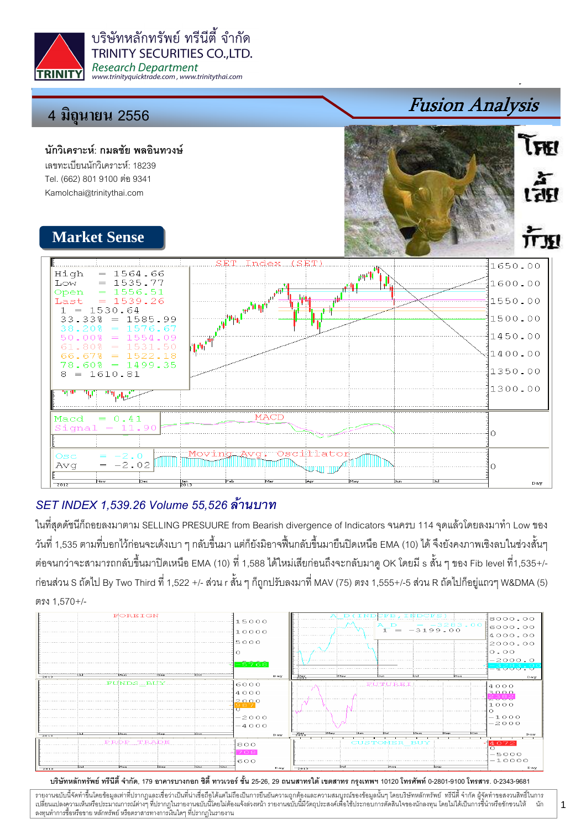

บริษัทหลักทรัพย์ ทรีนีตี้ จำกัด **TRINITY SECURITIES CO., LTD. Research Department** www.trinityquicktrade.com, www.trinitythai.com

# 4 มิถุนายน 2556

#### นักวิเคราะห์: กมลชัย พลอินทวงษ์ เลขทะเบียนนักวิเคราะห์: 18239 Tel. (662) 801 9100 ต่อ 9341

Kamolchai@trinitythai.com



Fusion Analysis

**LERI** 

## SET INDEX 1,539.26 Volume 55,526

ในที่สุดดัชนีก็ถอยลงมาตาม SELLING PRESUURE from Bearish divergence of Indicators จนครบ 114 จุดแล้วโดยลงมาทำ Low ของ วันที่ 1,535 ตามที่บอกไว้ก่อนจะเด้งเบา ๆ กลับขึ้นมา แต่ก็ยังมิอาจฟื้นกลับขึ้นมายืนปิดเหนือ EMA (10) ได้ จึงยังคงภาพเชิงลบในช่วงสั้นๆ ต่อจนกว่าจะสามารถกลับขึ้นมาปิดเหนือ EMA (10) ที่ 1,588 ได้ใหม่เสียก่อนถึงจะกลับมาดู OK โดยมี s สั้น ๆ ของ Fib level ที่1,535+/-ก่อนส่วน S ถัดไป By Two Third ที่ 1,522 +/- ส่วน r สั้น ๆ ก็ถูกปรับลงมาที่ MAV (75) ตรง 1,555+/-5 ส่วน R ถัดไปก็อยู่แถวๆ W&DMA (5) &- 1,570+/-



#### บริษัทหลักทรัพย์ ทรีนีตี้ จำกัด, 179 อาคารบางกอก ซิตี้ ทาวเวอร์ ชั้น 25-26, 29 ถนนสาทรใต้ เตตสาห กรุงเทพฯ 10120 โทรศัพท์ 0-2801-9100 โทรสาร. 0-2343-9681

รายงานฉบับนี้จัดทำขึ้นโดยข้อมูลเท่าที่ปรากฏและเชื่อว่าเป็นที่มากขึ้นตั้งเป็นก็ตะบนการตารามสมบูรณ์ของข้อมูลนั้นๆ โดยบริษัทหลักทรัพย์ ทรีนี้ตี้จำกัด ผู้จัดทำขอสงวนสิทธิ์ในการ  $\ddot{\phantom{a}}$ เปลี่ยนแปลงความเห็นหรือประมาณการณ์ต่างๆ ที่ปรากฏในรายงานอบับนี้โดย การกระบบกันไม่ได้รับระบบการตัดสินใจของนักลงทุน โดยไม่ได้เป็นการขึ้นำหรือชักชวนให้ นัก ลงทุนทำการซื้อหรือขาย หลักทรัพย์ หรือตราสารทางการเงินใดๆ ที่ปรากฏในรายงาน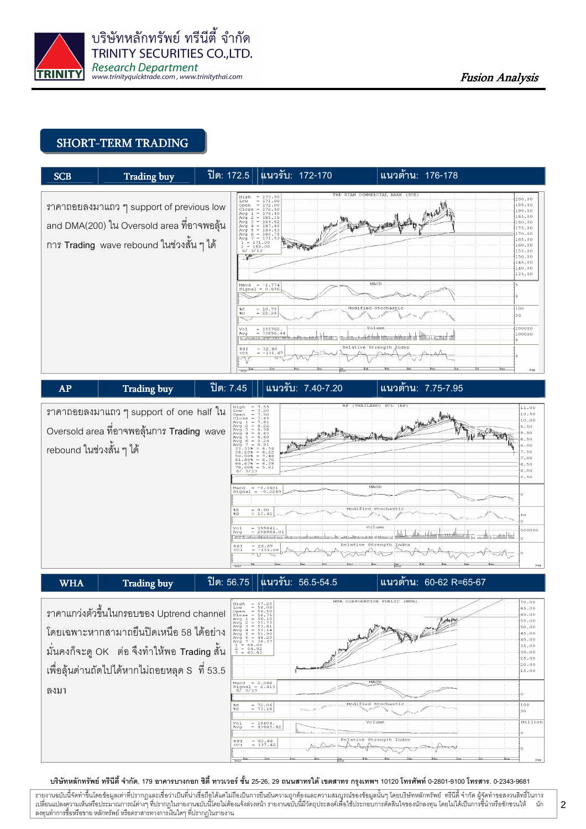

#### SHORT-TERM TRADING





|                                               | MHA CORPORATION PUBLIC (MHA)<br>$= 57.25$<br>High<br>$= 56.00$                                                                       | 70.00          |
|-----------------------------------------------|--------------------------------------------------------------------------------------------------------------------------------------|----------------|
| ิ ราคาแกว่งตัวขึ้นในกรอบของ Uptrend channel   | Low<br>$open = 56.50$                                                                                                                | 65.00          |
|                                               | $\begin{array}{rcl} 10086 & = & 56.75 \\ \text{Avg } & 1 & = & 56.10 \end{array}$<br>$\theta_{\text{eff}}$ and $\overline{\text{F}}$ | 60.00<br>55.00 |
|                                               | $\begin{array}{rcl} \n\bar{A} \vee \bar{g} & \bar{g} & = & 55.73 \\ \bar{A} \vee \bar{g} & 3 & = & 53.81\n\end{array}$               | 50.00          |
| โดยเฉพาะหากสามาถยื่นปิดเหนือ 58 ได้อย่าง      | $= 53.14$<br>$Avq$ 4                                                                                                                 | 45.00          |
|                                               | Avg $5 = 51.90$<br>Avg $6 = 48.20$<br>Avg $7 = 36.37$                                                                                | 40.00          |
|                                               | $= 58.00$<br>$2 = 54.92$                                                                                                             | 35.00          |
| มั่นคงก็จะดู OK ต่อ จึงทำให้พอ Trading สั้น   | $3 - 63.83$                                                                                                                          | 30.00          |
|                                               |                                                                                                                                      | 125.00         |
| เพื่อลุ้นด่านถัดไปได้หากไม่ถอยหลุด S ที่ 53.5 |                                                                                                                                      | 20.00<br>15.00 |
|                                               |                                                                                                                                      |                |
|                                               | MACD<br>$Macd = 2.266$                                                                                                               |                |
| ิลงมา                                         | $Signal = 2.413$<br>$67 \frac{3}{13}$                                                                                                |                |
|                                               |                                                                                                                                      |                |
|                                               | Modified Stochastic<br>$-72.06$<br>9.15                                                                                              | 100            |
|                                               | $-73.18$<br>8D<br><b>Stationary</b>                                                                                                  | 50             |
|                                               |                                                                                                                                      |                |
|                                               | Volume<br>$= 18404.$<br>$V_0$ 1<br>$= 43885.42$<br>Avg                                                                               | Million        |
|                                               |                                                                                                                                      |                |
|                                               | Relative Strength Index<br>$= 65.88$<br>RSI                                                                                          |                |
|                                               | $= 137.42$<br>CCI                                                                                                                    |                |
|                                               |                                                                                                                                      |                |

#### บริษัทหลักทรัพย์ ทรีนีตี้ จำกัด, 179 อาคารบางกอก ซิตี้ ทาวเวอร์ ชั้น 25-26, 29 ถนนสาทรใต้ เตตสาห กรุงเทพฯ 10120 โทรศัพท์ 0-2801-9100 โทรสาร. 0-2343-9681

รายงานฉบับนี้จัดทำขึ้นโดยข้อมูลเท่าที่ปรากฏและเชื่อว่าเป็นที่มากขึ้นตั้งเป็นก็ตะบนการตารามสมบูรณ์ของข้อมูลนั้นๆ โดยบริษัทหลักทรัพย์ ทรีนี้ตี้จำกัด ผู้จัดทำขอสงวนสิทธิ์ในการ  $\ddot{\phantom{a}}$ เปลี่ยนแปลงความเห็นหรือประมาณการณ์ต่างๆ ที่ปรากฏในรายงานอบับนี้โดย การกระบบกันไม่ได้รับระบบการตัดสินใจของนักลงทุน โดยไม่ได้เป็นการขึ้นำหรือชักชวนให้ นัก ลงทุนทำการซื้อหรือขาย หลักทรัพย์ หรือตราสารทางการเงินใดๆ ที่ปรากฏในรายงาน